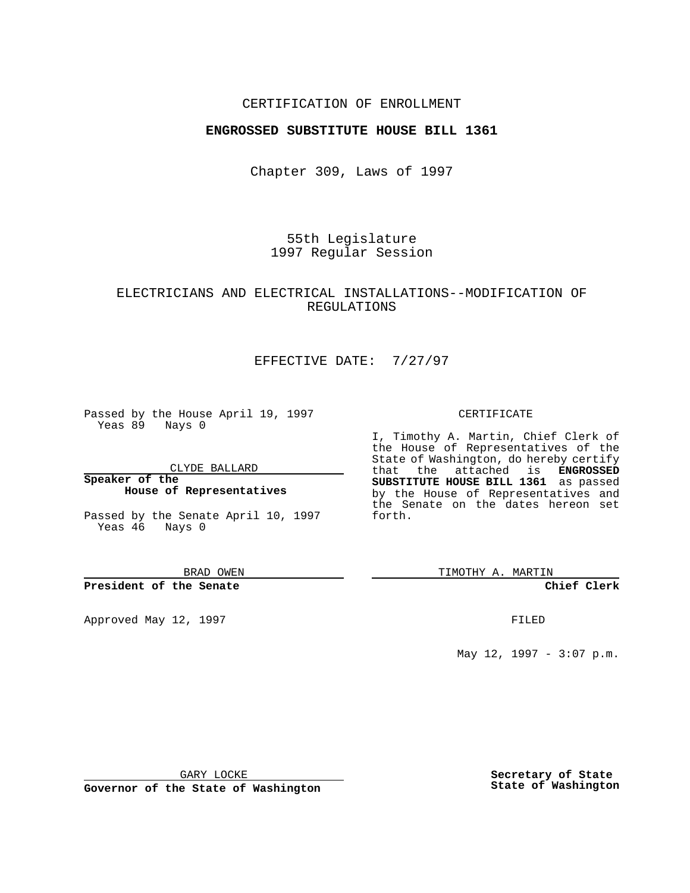### CERTIFICATION OF ENROLLMENT

## **ENGROSSED SUBSTITUTE HOUSE BILL 1361**

Chapter 309, Laws of 1997

55th Legislature 1997 Regular Session

# ELECTRICIANS AND ELECTRICAL INSTALLATIONS--MODIFICATION OF REGULATIONS

# EFFECTIVE DATE: 7/27/97

Passed by the House April 19, 1997 Yeas 89 Nays 0

CLYDE BALLARD

**Speaker of the House of Representatives**

Passed by the Senate April 10, 1997 Yeas 46 Nays 0

BRAD OWEN

#### **President of the Senate**

Approved May 12, 1997 **FILED** 

#### CERTIFICATE

I, Timothy A. Martin, Chief Clerk of the House of Representatives of the State of Washington, do hereby certify that the attached is **ENGROSSED SUBSTITUTE HOUSE BILL 1361** as passed by the House of Representatives and the Senate on the dates hereon set forth.

TIMOTHY A. MARTIN

#### **Chief Clerk**

May 12, 1997 - 3:07 p.m.

GARY LOCKE

**Governor of the State of Washington**

**Secretary of State State of Washington**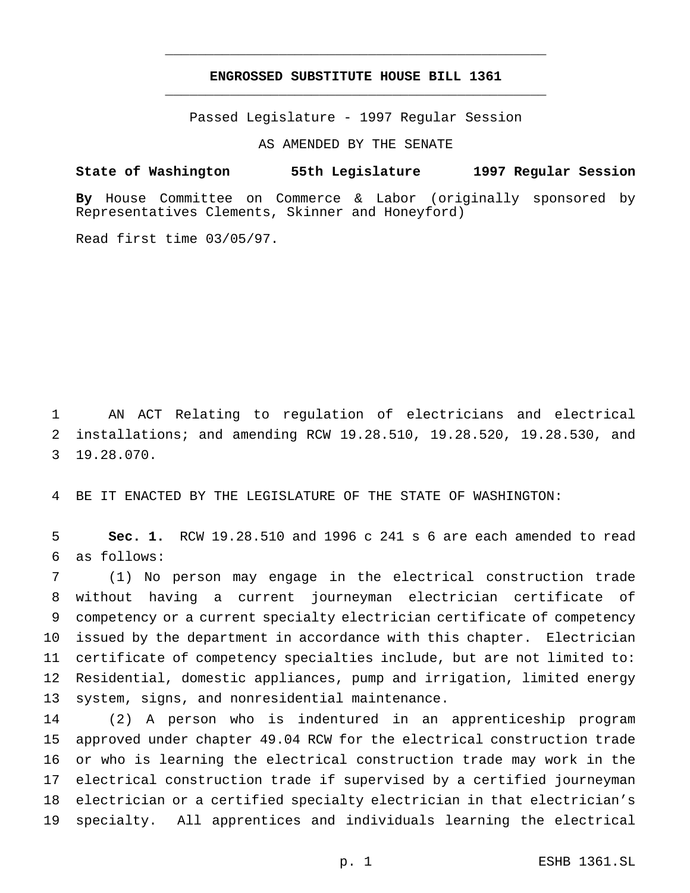# **ENGROSSED SUBSTITUTE HOUSE BILL 1361** \_\_\_\_\_\_\_\_\_\_\_\_\_\_\_\_\_\_\_\_\_\_\_\_\_\_\_\_\_\_\_\_\_\_\_\_\_\_\_\_\_\_\_\_\_\_\_

\_\_\_\_\_\_\_\_\_\_\_\_\_\_\_\_\_\_\_\_\_\_\_\_\_\_\_\_\_\_\_\_\_\_\_\_\_\_\_\_\_\_\_\_\_\_\_

Passed Legislature - 1997 Regular Session

AS AMENDED BY THE SENATE

**State of Washington 55th Legislature 1997 Regular Session**

**By** House Committee on Commerce & Labor (originally sponsored by Representatives Clements, Skinner and Honeyford)

Read first time 03/05/97.

 AN ACT Relating to regulation of electricians and electrical installations; and amending RCW 19.28.510, 19.28.520, 19.28.530, and 19.28.070.

BE IT ENACTED BY THE LEGISLATURE OF THE STATE OF WASHINGTON:

 **Sec. 1.** RCW 19.28.510 and 1996 c 241 s 6 are each amended to read as follows:

 (1) No person may engage in the electrical construction trade without having a current journeyman electrician certificate of competency or a current specialty electrician certificate of competency issued by the department in accordance with this chapter. Electrician certificate of competency specialties include, but are not limited to: Residential, domestic appliances, pump and irrigation, limited energy system, signs, and nonresidential maintenance.

 (2) A person who is indentured in an apprenticeship program approved under chapter 49.04 RCW for the electrical construction trade or who is learning the electrical construction trade may work in the electrical construction trade if supervised by a certified journeyman electrician or a certified specialty electrician in that electrician's specialty. All apprentices and individuals learning the electrical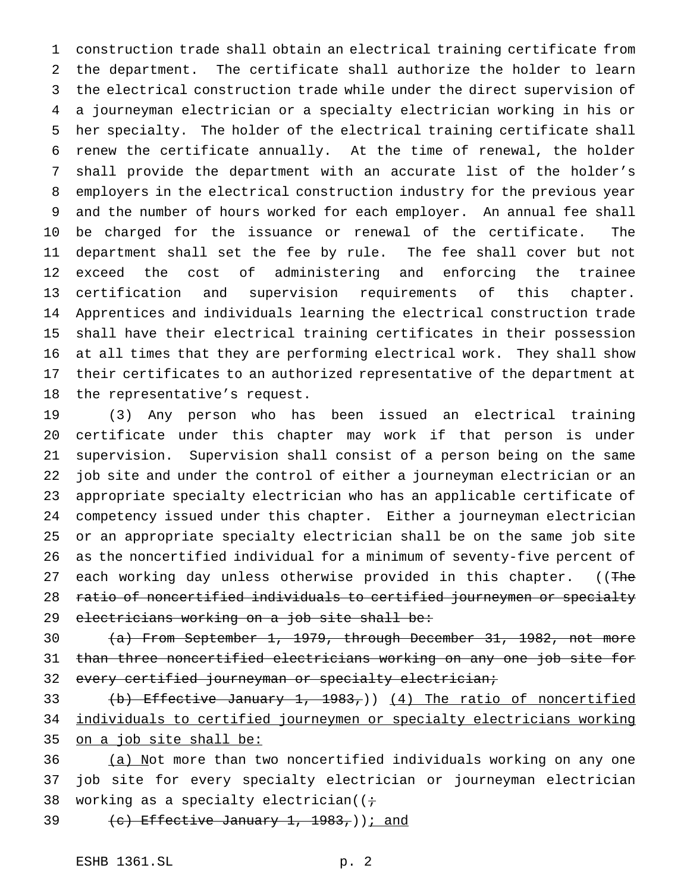construction trade shall obtain an electrical training certificate from the department. The certificate shall authorize the holder to learn the electrical construction trade while under the direct supervision of a journeyman electrician or a specialty electrician working in his or her specialty. The holder of the electrical training certificate shall renew the certificate annually. At the time of renewal, the holder shall provide the department with an accurate list of the holder's employers in the electrical construction industry for the previous year and the number of hours worked for each employer. An annual fee shall be charged for the issuance or renewal of the certificate. The department shall set the fee by rule. The fee shall cover but not exceed the cost of administering and enforcing the trainee certification and supervision requirements of this chapter. Apprentices and individuals learning the electrical construction trade shall have their electrical training certificates in their possession at all times that they are performing electrical work. They shall show their certificates to an authorized representative of the department at the representative's request.

 (3) Any person who has been issued an electrical training certificate under this chapter may work if that person is under supervision. Supervision shall consist of a person being on the same job site and under the control of either a journeyman electrician or an appropriate specialty electrician who has an applicable certificate of competency issued under this chapter. Either a journeyman electrician or an appropriate specialty electrician shall be on the same job site as the noncertified individual for a minimum of seventy-five percent of 27 each working day unless otherwise provided in this chapter. ((The ratio of noncertified individuals to certified journeymen or specialty electricians working on a job site shall be:

 (a) From September 1, 1979, through December 31, 1982, not more than three noncertified electricians working on any one job site for 32 every certified journeyman or specialty electrician;

33 (b) Effective January 1, 1983,)) (4) The ratio of noncertified individuals to certified journeymen or specialty electricians working on a job site shall be:

36 (a) Not more than two noncertified individuals working on any one job site for every specialty electrician or journeyman electrician 38 working as a specialty electrician( $(i+$ 

39  $(e)$  Effective January 1, 1983,) i and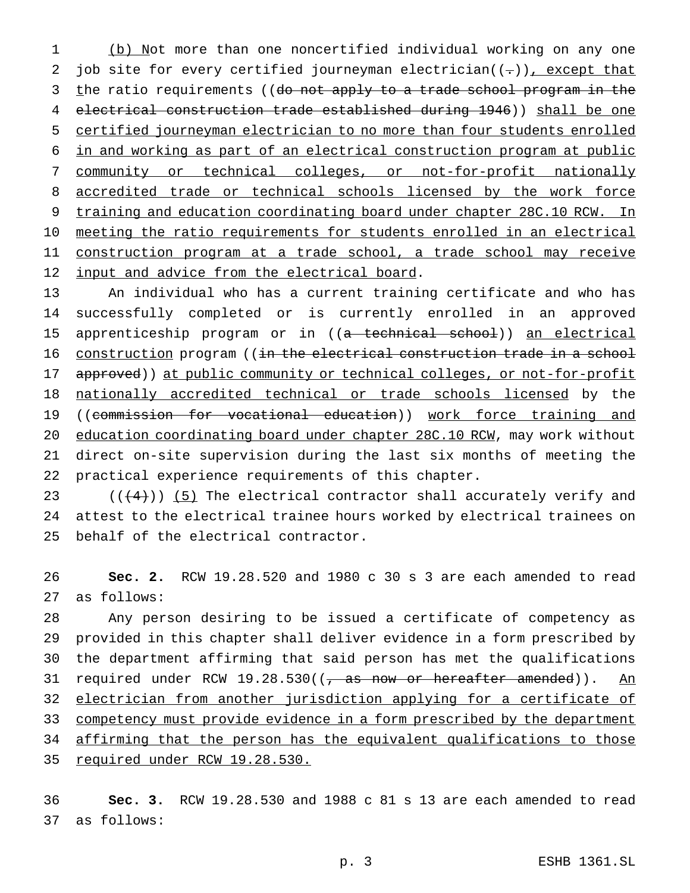(b) Not more than one noncertified individual working on any one 2 job site for every certified journeyman electrician( $(-)$ ), except that 3 the ratio requirements ((do not apply to a trade school program in the electrical construction trade established during 1946)) shall be one certified journeyman electrician to no more than four students enrolled in and working as part of an electrical construction program at public community or technical colleges, or not-for-profit nationally 8 accredited trade or technical schools licensed by the work force 9 training and education coordinating board under chapter 28C.10 RCW. In meeting the ratio requirements for students enrolled in an electrical 11 construction program at a trade school, a trade school may receive 12 input and advice from the electrical board.

 An individual who has a current training certificate and who has successfully completed or is currently enrolled in an approved 15 apprenticeship program or in ((a technical school)) an electrical 16 construction program ((in the electrical construction trade in a school 17 approved)) at public community or technical colleges, or not-for-profit nationally accredited technical or trade schools licensed by the 19 ((commission for vocational education)) work force training and education coordinating board under chapter 28C.10 RCW, may work without direct on-site supervision during the last six months of meeting the practical experience requirements of this chapter.

23  $((4+))$  (5) The electrical contractor shall accurately verify and attest to the electrical trainee hours worked by electrical trainees on behalf of the electrical contractor.

 **Sec. 2.** RCW 19.28.520 and 1980 c 30 s 3 are each amended to read as follows:

 Any person desiring to be issued a certificate of competency as provided in this chapter shall deliver evidence in a form prescribed by the department affirming that said person has met the qualifications 31 required under RCW 19.28.530((, as now or hereafter amended)). An electrician from another jurisdiction applying for a certificate of 33 competency must provide evidence in a form prescribed by the department affirming that the person has the equivalent qualifications to those 35 required under RCW 19.28.530.

 **Sec. 3.** RCW 19.28.530 and 1988 c 81 s 13 are each amended to read as follows: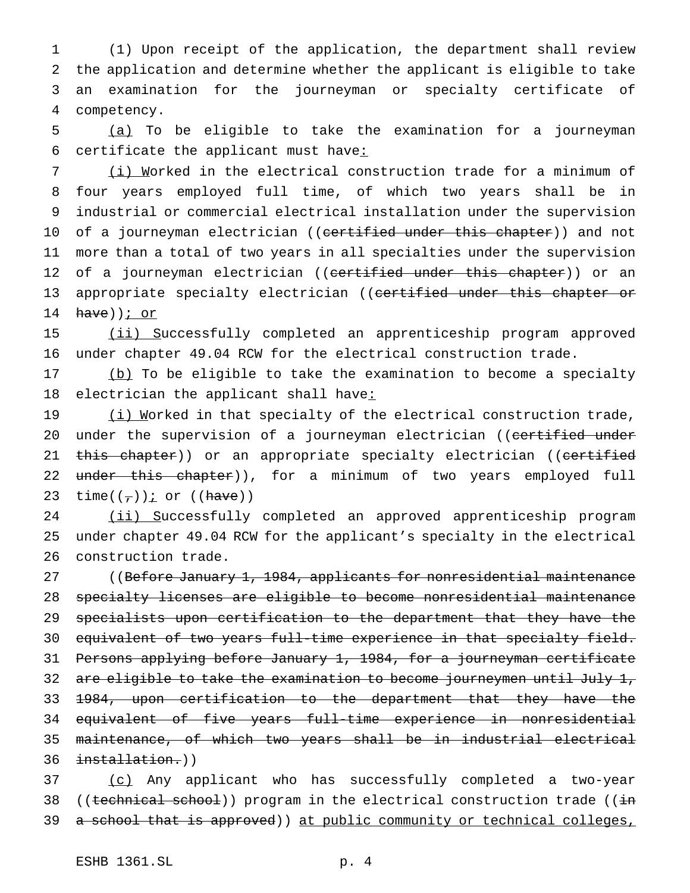(1) Upon receipt of the application, the department shall review the application and determine whether the applicant is eligible to take an examination for the journeyman or specialty certificate of competency.

5 (a) To be eligible to take the examination for a journeyman 6 certificate the applicant must have:

 (i) Worked in the electrical construction trade for a minimum of four years employed full time, of which two years shall be in industrial or commercial electrical installation under the supervision 10 of a journeyman electrician ((certified under this chapter)) and not more than a total of two years in all specialties under the supervision 12 of a journeyman electrician ((certified under this chapter)) or an 13 appropriate specialty electrician ((certified under this chapter or  $have)$ ) *i* or

15 (ii) Successfully completed an apprenticeship program approved 16 under chapter 49.04 RCW for the electrical construction trade.

17 (b) To be eligible to take the examination to become a specialty 18 electrician the applicant shall have:

19 (i) Morked in that specialty of the electrical construction trade, 20 under the supervision of a journeyman electrician ((certified under 21 this chapter)) or an appropriate specialty electrician ((certified 22 under this chapter)), for a minimum of two years employed full 23 time( $(\tau)$ ) *i* or ((have))

24 (ii) Successfully completed an approved apprenticeship program 25 under chapter 49.04 RCW for the applicant's specialty in the electrical 26 construction trade.

27 ((Before January 1, 1984, applicants for nonresidential maintenance specialty licenses are eligible to become nonresidential maintenance specialists upon certification to the department that they have the equivalent of two years full-time experience in that specialty field. Persons applying before January 1, 1984, for a journeyman certificate 32 are eligible to take the examination to become journeymen until July 1, 1984, upon certification to the department that they have the equivalent of five years full-time experience in nonresidential maintenance, of which two years shall be in industrial electrical installation.))

37 (c) Any applicant who has successfully completed a two-year 38 ((technical school)) program in the electrical construction trade (( $\frac{1}{1}$ ) 39 a school that is approved)) at public community or technical colleges,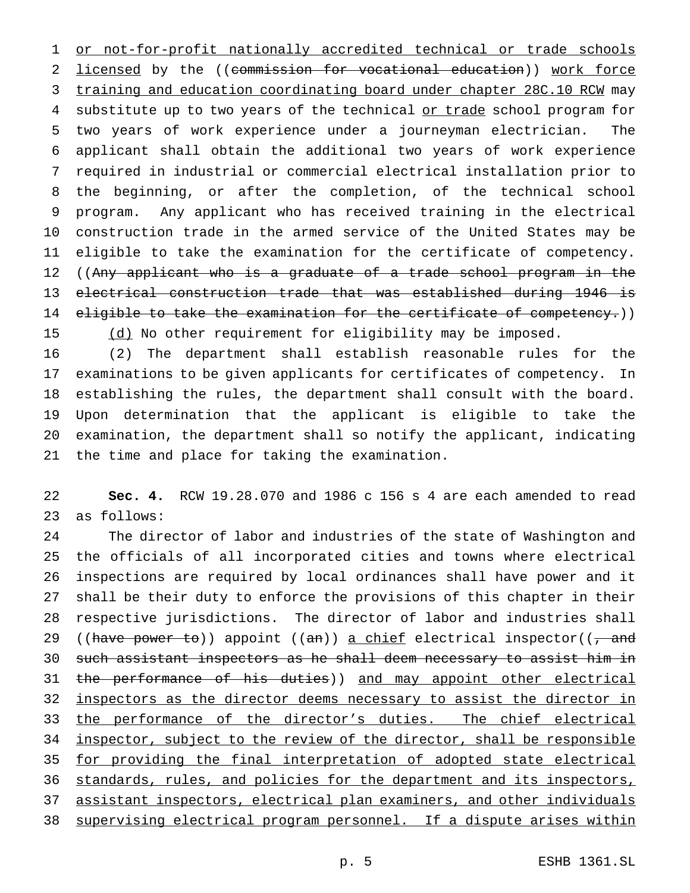1 or not-for-profit nationally accredited technical or trade schools 2 licensed by the ((commission for vocational education)) work force 3 training and education coordinating board under chapter 28C.10 RCW may 4 substitute up to two years of the technical or trade school program for two years of work experience under a journeyman electrician. The applicant shall obtain the additional two years of work experience required in industrial or commercial electrical installation prior to the beginning, or after the completion, of the technical school program. Any applicant who has received training in the electrical construction trade in the armed service of the United States may be eligible to take the examination for the certificate of competency. 12 ((Any applicant who is a graduate of a trade school program in the electrical construction trade that was established during 1946 is 14 eligible to take the examination for the certificate of competency.)) 15 (d) No other requirement for eligibility may be imposed.

 (2) The department shall establish reasonable rules for the examinations to be given applicants for certificates of competency. In establishing the rules, the department shall consult with the board. Upon determination that the applicant is eligible to take the examination, the department shall so notify the applicant, indicating the time and place for taking the examination.

 **Sec. 4.** RCW 19.28.070 and 1986 c 156 s 4 are each amended to read as follows:

 The director of labor and industries of the state of Washington and the officials of all incorporated cities and towns where electrical inspections are required by local ordinances shall have power and it shall be their duty to enforce the provisions of this chapter in their respective jurisdictions. The director of labor and industries shall 29 ((have power to)) appoint ((an)) a chief electrical inspector(( $\frac{1}{1}$  and such assistant inspectors as he shall deem necessary to assist him in 31 the performance of his duties)) and may appoint other electrical 32 inspectors as the director deems necessary to assist the director in 33 the performance of the director's duties. The chief electrical inspector, subject to the review of the director, shall be responsible 35 for providing the final interpretation of adopted state electrical standards, rules, and policies for the department and its inspectors, assistant inspectors, electrical plan examiners, and other individuals supervising electrical program personnel. If a dispute arises within